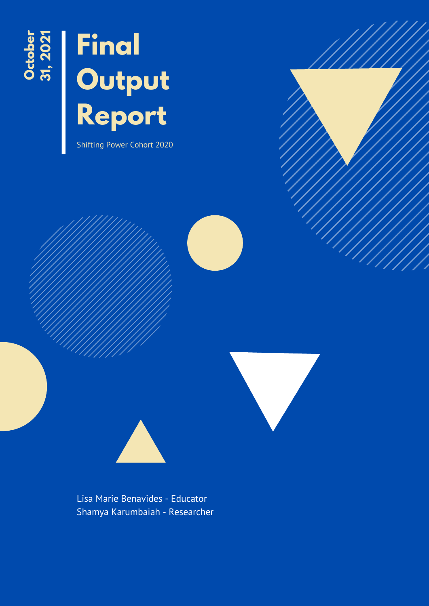

# **Final Output Report**

Shifting Power Cohort 2020





Lisa Marie Benavides - Educator Shamya Karumbaiah - Researcher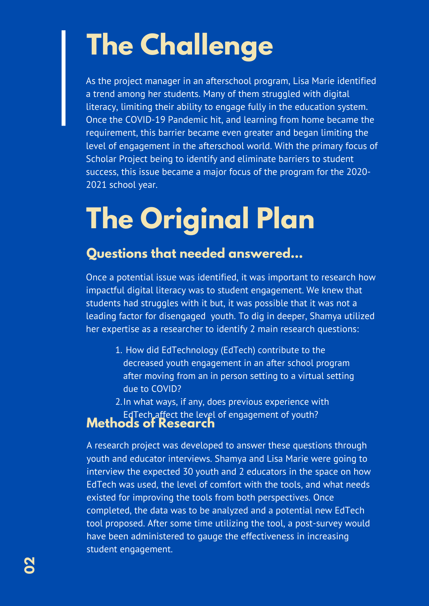## **The Challenge**

As the project manager in an afterschool program, Lisa Marie identified a trend among her students. Many of them struggled with digital literacy, limiting their ability to engage fully in the education system. Once the COVID-19 Pandemic hit, and learning from home became the requirement, this barrier became even greater and began limiting the level of engagement in the afterschool world. With the primary focus of Scholar Project being to identify and eliminate barriers to student success, this issue became a major focus of the program for the 2020- 2021 school year.

## **The Original Plan**

### **Questions that needed answered...**

Once a potential issue was identified, it was important to research how impactful digital literacy was to student engagement. We knew that students had struggles with it but, it was possible that it was not a leading factor for disengaged youth. To dig in deeper, Shamya utilized her expertise as a researcher to identify 2 main research questions:

- 1. How did EdTechnology (EdTech) contribute to the decreased youth engagement in an after school program after moving from an in person setting to a virtual setting due to COVID?
- 2. In what ways, if any, does previous experience with EdTech affect the level of engagement of youth?

#### **Methods of Research**

A research project was developed to answer these questions through youth and educator interviews. Shamya and Lisa Marie were going to interview the expected 30 youth and 2 educators in the space on how EdTech was used, the level of comfort with the tools, and what needs existed for improving the tools from both perspectives. Once completed, the data was to be analyzed and a potential new EdTech tool proposed. After some time utilizing the tool, a post-survey would have been administered to gauge the effectiveness in increasing student engagement.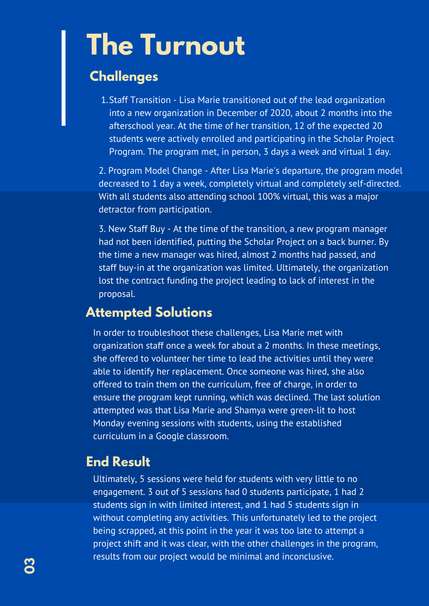## **The Turnout**

#### **Challenges**

1. Staff Transition - Lisa Marie transitioned out of the lead organization into a new organization in December of 2020, about 2 months into the afterschool year. At the time of her transition, 12 of the expected 20 students were actively enrolled and participating in the Scholar Project Program. The program met, in person, 3 days a week and virtual 1 day.

2. Program Model Change - After Lisa Marie's departure, the program model decreased to 1 day a week, completely virtual and completely self-directed. With all students also attending school 100% virtual, this was a major detractor from participation.

3. New Staff Buy - At the time of the transition, a new program manager had not been identified, putting the Scholar Project on a back burner. By the time a new manager was hired, almost 2 months had passed, and staff buy-in at the organization was limited. Ultimately, the organization lost the contract funding the project leading to lack of interest in the proposal.

#### **Attempted Solutions**

In order to troubleshoot these challenges, Lisa Marie met with organization staff once a week for about a 2 months. In these meetings, she offered to volunteer her time to lead the activities until they were able to identify her replacement. Once someone was hired, she also offered to train them on the curriculum, free of charge, in order to ensure the program kept running, which was declined. The last solution attempted was that Lisa Marie and Shamya were green-lit to host Monday evening sessions with students, using the established curriculum in a Google classroom.

### **End Result**

Ultimately, 5 sessions were held for students with very little to no engagement. 3 out of 5 sessions had 0 students participate, 1 had 2 students sign in with limited interest, and 1 had 5 students sign in without completing any activities. This unfortunately led to the project being scrapped, at this point in the year it was too late to attempt a project shift and it was clear, with the other challenges in the program, results from our project would be minimal and inconclusive.